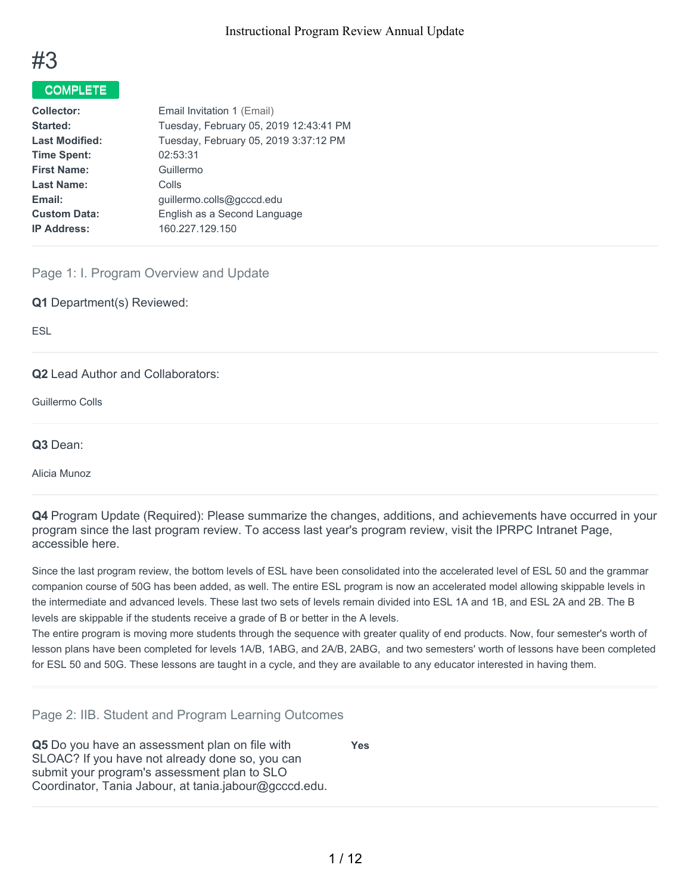

# COMPLETE

| Email Invitation 1 (Email)             |
|----------------------------------------|
| Tuesday, February 05, 2019 12:43:41 PM |
| Tuesday, February 05, 2019 3:37:12 PM  |
| 02:53:31                               |
| Guillermo                              |
| Colls                                  |
| quillermo.colls@gcccd.edu              |
| English as a Second Language           |
| 160.227.129.150                        |
|                                        |

Page 1: I. Program Overview and Update

**Q1** Department(s) Reviewed:

ESL

**Q2** Lead Author and Collaborators:

Guillermo Colls

**Q3** Dean:

Alicia Munoz

**Q4** Program Update (Required): Please summarize the changes, additions, and achievements have occurred in your program since the last program review. To access last year's program review, visit the IPRPC Intranet Page, accessible here.

Since the last program review, the bottom levels of ESL have been consolidated into the accelerated level of ESL 50 and the grammar companion course of 50G has been added, as well. The entire ESL program is now an accelerated model allowing skippable levels in the intermediate and advanced levels. These last two sets of levels remain divided into ESL 1A and 1B, and ESL 2A and 2B. The B levels are skippable if the students receive a grade of B or better in the A levels.

The entire program is moving more students through the sequence with greater quality of end products. Now, four semester's worth of lesson plans have been completed for levels 1A/B, 1ABG, and 2A/B, 2ABG, and two semesters' worth of lessons have been completed for ESL 50 and 50G. These lessons are taught in a cycle, and they are available to any educator interested in having them.

Page 2: IIB. Student and Program Learning Outcomes

**Q5** Do you have an assessment plan on file with SLOAC? If you have not already done so, you can submit your program's assessment plan to SLO Coordinator, Tania Jabour, at tania.jabour@gcccd.edu. **Yes**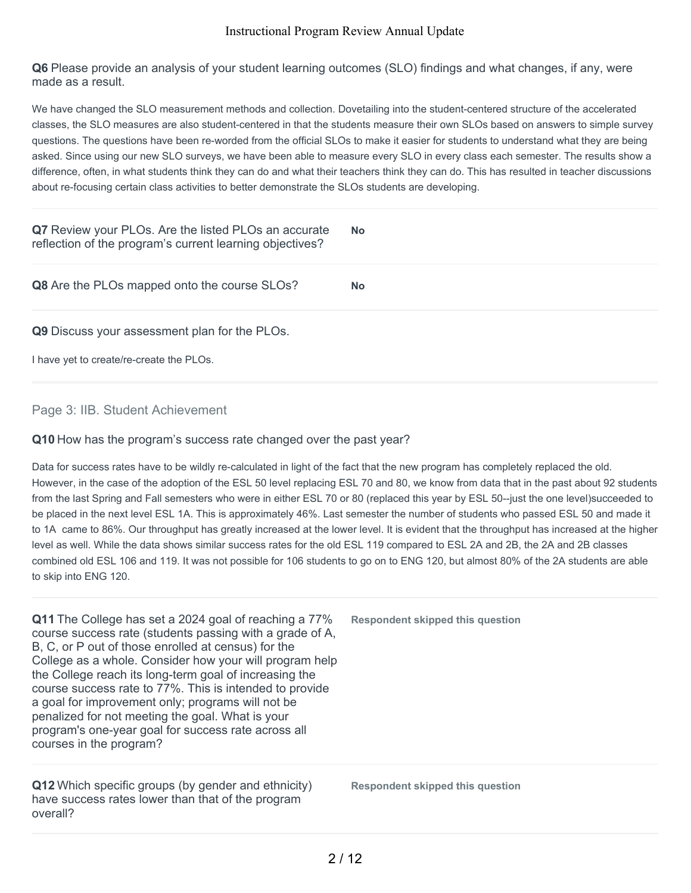**Q6** Please provide an analysis of your student learning outcomes (SLO) findings and what changes, if any, were made as a result.

We have changed the SLO measurement methods and collection. Dovetailing into the student-centered structure of the accelerated classes, the SLO measures are also student-centered in that the students measure their own SLOs based on answers to simple survey questions. The questions have been re-worded from the official SLOs to make it easier for students to understand what they are being asked. Since using our new SLO surveys, we have been able to measure every SLO in every class each semester. The results show a difference, often, in what students think they can do and what their teachers think they can do. This has resulted in teacher discussions about re-focusing certain class activities to better demonstrate the SLOs students are developing.

| Q7 Review your PLOs. Are the listed PLOs an accurate<br>reflection of the program's current learning objectives? | <b>No</b> |
|------------------------------------------------------------------------------------------------------------------|-----------|
| Q8 Are the PLOs mapped onto the course SLOs?                                                                     | <b>No</b> |
| Q9 Discuss your assessment plan for the PLOs.                                                                    |           |
| I have yet to create/re-create the PLOs.                                                                         |           |

### Page 3: IIB. Student Achievement

#### **Q10** How has the program's success rate changed over the past year?

Data for success rates have to be wildly re-calculated in light of the fact that the new program has completely replaced the old. However, in the case of the adoption of the ESL 50 level replacing ESL 70 and 80, we know from data that in the past about 92 students from the last Spring and Fall semesters who were in either ESL 70 or 80 (replaced this year by ESL 50--just the one level)succeeded to be placed in the next level ESL 1A. This is approximately 46%. Last semester the number of students who passed ESL 50 and made it to 1A came to 86%. Our throughput has greatly increased at the lower level. It is evident that the throughput has increased at the higher level as well. While the data shows similar success rates for the old ESL 119 compared to ESL 2A and 2B, the 2A and 2B classes combined old ESL 106 and 119. It was not possible for 106 students to go on to ENG 120, but almost 80% of the 2A students are able to skip into ENG 120.

**Q11** The College has set a 2024 goal of reaching a 77% course success rate (students passing with a grade of A, B, C, or P out of those enrolled at census) for the College as a whole. Consider how your will program help the College reach its long-term goal of increasing the course success rate to 77%. This is intended to provide a goal for improvement only; programs will not be penalized for not meeting the goal. What is your program's one-year goal for success rate across all courses in the program?

**Q12** Which specific groups (by gender and ethnicity) have success rates lower than that of the program overall?

**Respondent skipped this question**

**Respondent skipped this question**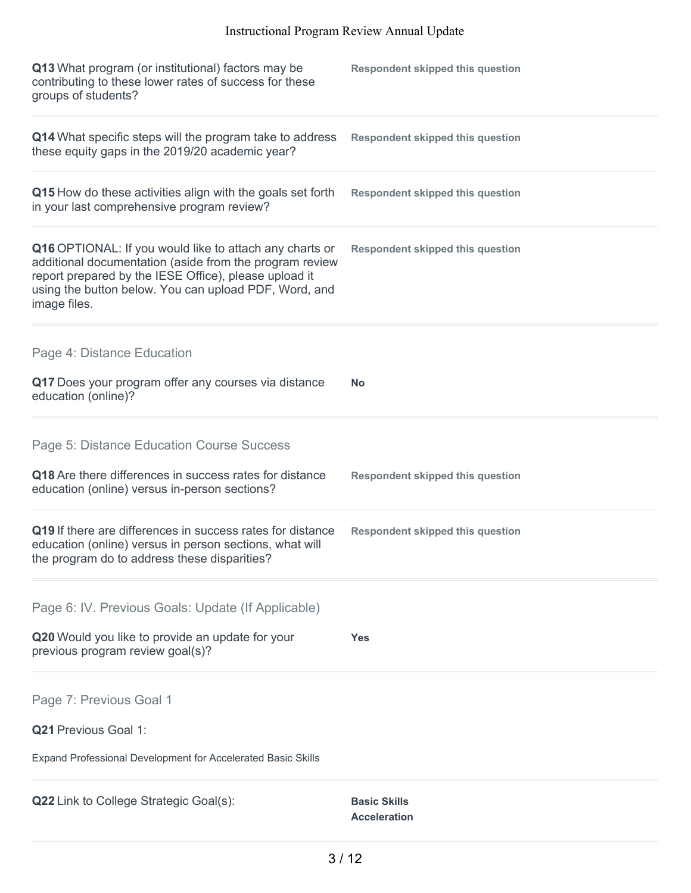| Q13 What program (or institutional) factors may be<br>contributing to these lower rates of success for these<br>groups of students?                                                                                                                  | <b>Respondent skipped this question</b>    |
|------------------------------------------------------------------------------------------------------------------------------------------------------------------------------------------------------------------------------------------------------|--------------------------------------------|
| Q14 What specific steps will the program take to address<br>these equity gaps in the 2019/20 academic year?                                                                                                                                          | <b>Respondent skipped this question</b>    |
| Q15 How do these activities align with the goals set forth<br>in your last comprehensive program review?                                                                                                                                             | <b>Respondent skipped this question</b>    |
| Q16 OPTIONAL: If you would like to attach any charts or<br>additional documentation (aside from the program review<br>report prepared by the IESE Office), please upload it<br>using the button below. You can upload PDF, Word, and<br>image files. | <b>Respondent skipped this question</b>    |
| Page 4: Distance Education                                                                                                                                                                                                                           |                                            |
| Q17 Does your program offer any courses via distance<br>education (online)?                                                                                                                                                                          | <b>No</b>                                  |
| Page 5: Distance Education Course Success                                                                                                                                                                                                            |                                            |
| Q18 Are there differences in success rates for distance<br>education (online) versus in-person sections?                                                                                                                                             | <b>Respondent skipped this question</b>    |
| Q19 If there are differences in success rates for distance<br>education (online) versus in person sections, what will<br>the program do to address these disparities?                                                                                | <b>Respondent skipped this question</b>    |
| Page 6: IV. Previous Goals: Update (If Applicable)                                                                                                                                                                                                   |                                            |
| Q20 Would you like to provide an update for your<br>previous program review goal(s)?                                                                                                                                                                 | Yes                                        |
| Page 7: Previous Goal 1                                                                                                                                                                                                                              |                                            |
| Q21 Previous Goal 1:                                                                                                                                                                                                                                 |                                            |
| Expand Professional Development for Accelerated Basic Skills                                                                                                                                                                                         |                                            |
| Q22 Link to College Strategic Goal(s):                                                                                                                                                                                                               | <b>Basic Skills</b><br><b>Acceleration</b> |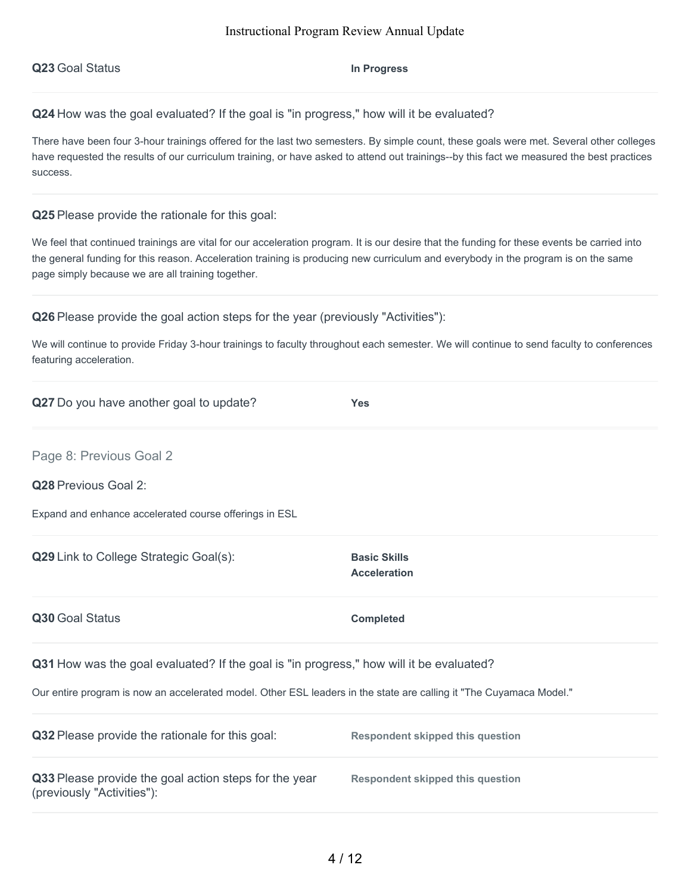**Q23** Goal Status **In Progress**

**Q24** How was the goal evaluated? If the goal is "in progress," how will it be evaluated?

There have been four 3-hour trainings offered for the last two semesters. By simple count, these goals were met. Several other colleges have requested the results of our curriculum training, or have asked to attend out trainings--by this fact we measured the best practices success.

**Q25** Please provide the rationale for this goal:

We feel that continued trainings are vital for our acceleration program. It is our desire that the funding for these events be carried into the general funding for this reason. Acceleration training is producing new curriculum and everybody in the program is on the same page simply because we are all training together.

**Q26** Please provide the goal action steps for the year (previously "Activities"):

We will continue to provide Friday 3-hour trainings to faculty throughout each semester. We will continue to send faculty to conferences featuring acceleration.

| Q27 Do you have another goal to update?                                                                                                                                                                        | <b>Yes</b>                                 |  |
|----------------------------------------------------------------------------------------------------------------------------------------------------------------------------------------------------------------|--------------------------------------------|--|
| Page 8: Previous Goal 2                                                                                                                                                                                        |                                            |  |
| <b>Q28</b> Previous Goal 2:                                                                                                                                                                                    |                                            |  |
| Expand and enhance accelerated course offerings in ESL                                                                                                                                                         |                                            |  |
| Q29 Link to College Strategic Goal(s):                                                                                                                                                                         | <b>Basic Skills</b><br><b>Acceleration</b> |  |
| Q30 Goal Status                                                                                                                                                                                                | <b>Completed</b>                           |  |
| Q31 How was the goal evaluated? If the goal is "in progress," how will it be evaluated?<br>Our entire program is now an accelerated model. Other ESL leaders in the state are calling it "The Cuyamaca Model." |                                            |  |
| Q32 Please provide the rationale for this goal:                                                                                                                                                                | <b>Respondent skipped this question</b>    |  |
| Q33 Please provide the goal action steps for the year<br>(previously "Activities"):                                                                                                                            | <b>Respondent skipped this question</b>    |  |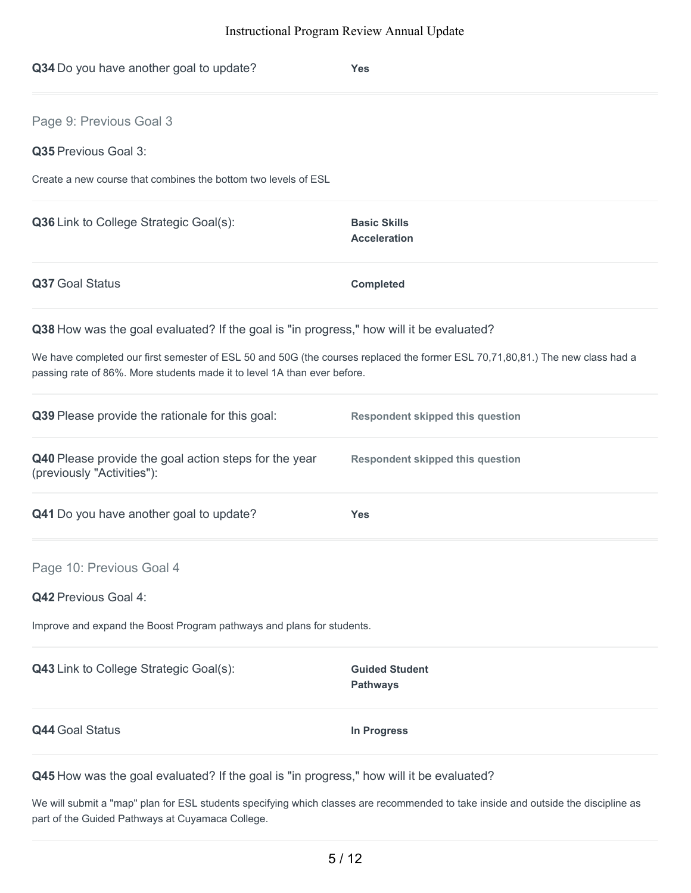| Q34 Do you have another goal to update?                                                                                                                                                                   | <b>Yes</b>                                 |
|-----------------------------------------------------------------------------------------------------------------------------------------------------------------------------------------------------------|--------------------------------------------|
| Page 9: Previous Goal 3                                                                                                                                                                                   |                                            |
| Q35 Previous Goal 3:                                                                                                                                                                                      |                                            |
| Create a new course that combines the bottom two levels of ESL                                                                                                                                            |                                            |
| Q36 Link to College Strategic Goal(s):                                                                                                                                                                    | <b>Basic Skills</b><br><b>Acceleration</b> |
| Q37 Goal Status                                                                                                                                                                                           | <b>Completed</b>                           |
| Q38 How was the goal evaluated? If the goal is "in progress," how will it be evaluated?                                                                                                                   |                                            |
| We have completed our first semester of ESL 50 and 50G (the courses replaced the former ESL 70,71,80,81.) The new class had a<br>passing rate of 86%. More students made it to level 1A than ever before. |                                            |
| Q39 Please provide the rationale for this goal:                                                                                                                                                           | <b>Respondent skipped this question</b>    |
| Q40 Please provide the goal action steps for the year<br>(previously "Activities"):                                                                                                                       | <b>Respondent skipped this question</b>    |
| Q41 Do you have another goal to update?                                                                                                                                                                   | <b>Yes</b>                                 |
| Page 10: Previous Goal 4                                                                                                                                                                                  |                                            |
| Q42 Previous Goal 4:                                                                                                                                                                                      |                                            |
| Improve and expand the Boost Program pathways and plans for students.                                                                                                                                     |                                            |
| Q43 Link to College Strategic Goal(s):                                                                                                                                                                    | <b>Guided Student</b><br><b>Pathways</b>   |
| <b>Q44 Goal Status</b>                                                                                                                                                                                    | <b>In Progress</b>                         |
|                                                                                                                                                                                                           |                                            |

**Q45** How was the goal evaluated? If the goal is "in progress," how will it be evaluated?

We will submit a "map" plan for ESL students specifying which classes are recommended to take inside and outside the discipline as part of the Guided Pathways at Cuyamaca College.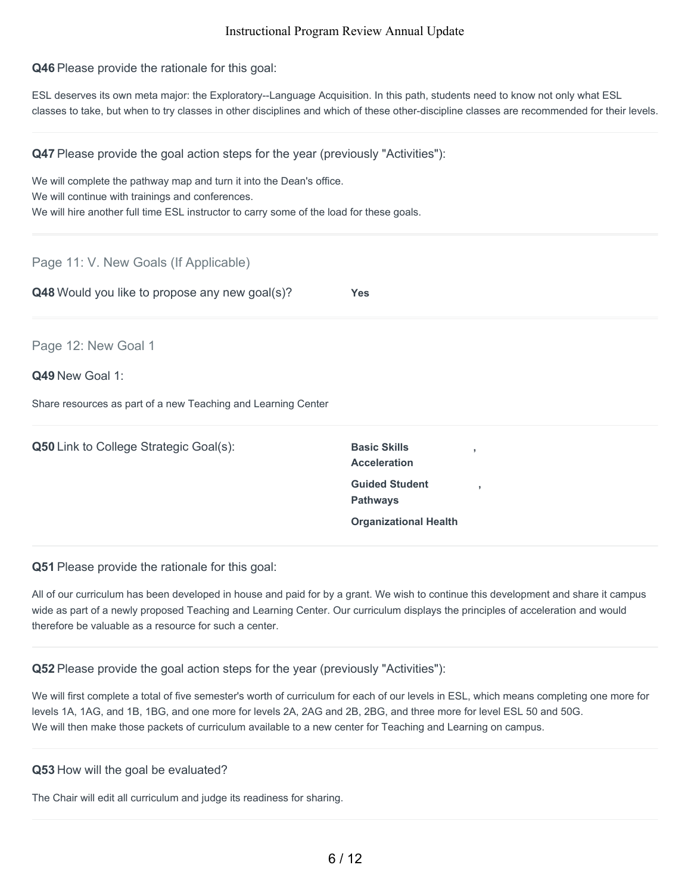**Q46** Please provide the rationale for this goal:

ESL deserves its own meta major: the Exploratory--Language Acquisition. In this path, students need to know not only what ESL classes to take, but when to try classes in other disciplines and which of these other-discipline classes are recommended for their levels.

**Q47** Please provide the goal action steps for the year (previously "Activities"):

We will complete the pathway map and turn it into the Dean's office. We will continue with trainings and conferences. We will hire another full time ESL instructor to carry some of the load for these goals.

Page 11: V. New Goals (If Applicable)

**Q48** Would you like to propose any new goal(s)? **Yes**

Page 12: New Goal 1

#### **Q49** New Goal 1:

Share resources as part of a new Teaching and Learning Center

| <b>Q50</b> Link to College Strategic Goal(s): | <b>Basic Skills</b><br><b>Acceleration</b> |
|-----------------------------------------------|--------------------------------------------|
|                                               | <b>Guided Student</b><br><b>Pathways</b>   |
|                                               | <b>Organizational Health</b>               |

**Q51** Please provide the rationale for this goal:

All of our curriculum has been developed in house and paid for by a grant. We wish to continue this development and share it campus wide as part of a newly proposed Teaching and Learning Center. Our curriculum displays the principles of acceleration and would therefore be valuable as a resource for such a center.

**,**

**,**

#### **Q52** Please provide the goal action steps for the year (previously "Activities"):

We will first complete a total of five semester's worth of curriculum for each of our levels in ESL, which means completing one more for levels 1A, 1AG, and 1B, 1BG, and one more for levels 2A, 2AG and 2B, 2BG, and three more for level ESL 50 and 50G. We will then make those packets of curriculum available to a new center for Teaching and Learning on campus.

#### **Q53** How will the goal be evaluated?

The Chair will edit all curriculum and judge its readiness for sharing.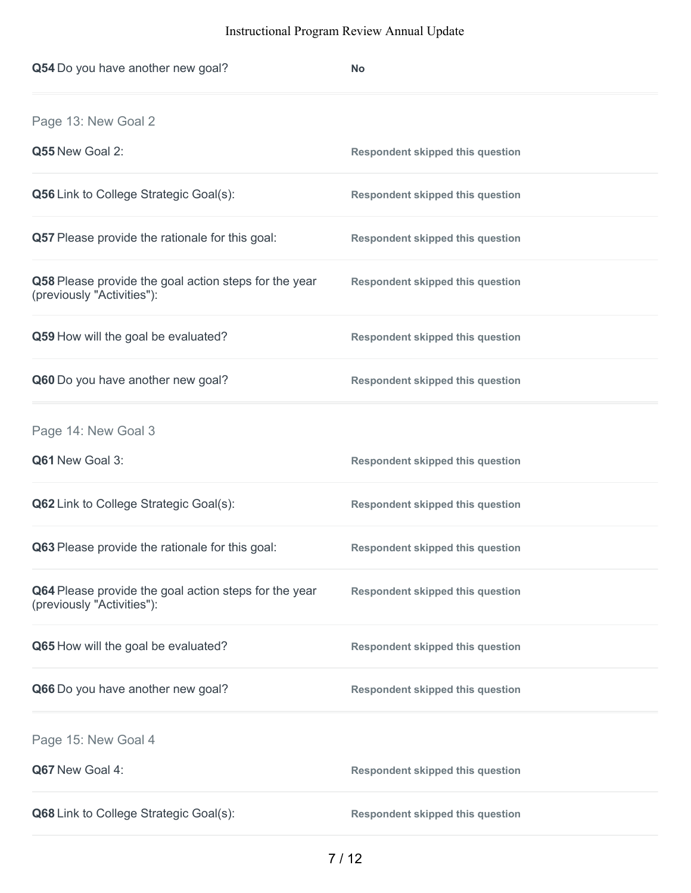| Q54 Do you have another new goal?                                                   | <b>No</b>                               |
|-------------------------------------------------------------------------------------|-----------------------------------------|
| Page 13: New Goal 2                                                                 |                                         |
| Q55 New Goal 2:                                                                     | <b>Respondent skipped this question</b> |
| <b>Q56</b> Link to College Strategic Goal(s):                                       | <b>Respondent skipped this question</b> |
| Q57 Please provide the rationale for this goal:                                     | <b>Respondent skipped this question</b> |
| Q58 Please provide the goal action steps for the year<br>(previously "Activities"): | <b>Respondent skipped this question</b> |
| Q59 How will the goal be evaluated?                                                 | <b>Respondent skipped this question</b> |
| Q60 Do you have another new goal?                                                   | <b>Respondent skipped this question</b> |
| Page 14: New Goal 3                                                                 |                                         |
| Q61 New Goal 3:                                                                     | <b>Respondent skipped this question</b> |
| <b>Q62</b> Link to College Strategic Goal(s):                                       | <b>Respondent skipped this question</b> |
| Q63 Please provide the rationale for this goal:                                     | <b>Respondent skipped this question</b> |
| Q64 Please provide the goal action steps for the year<br>(previously "Activities"): | <b>Respondent skipped this question</b> |
| Q65 How will the goal be evaluated?                                                 | <b>Respondent skipped this question</b> |
| Q66 Do you have another new goal?                                                   | <b>Respondent skipped this question</b> |
| Page 15: New Goal 4                                                                 |                                         |
| Q67 New Goal 4:                                                                     | <b>Respondent skipped this question</b> |
| Q68 Link to College Strategic Goal(s):                                              | <b>Respondent skipped this question</b> |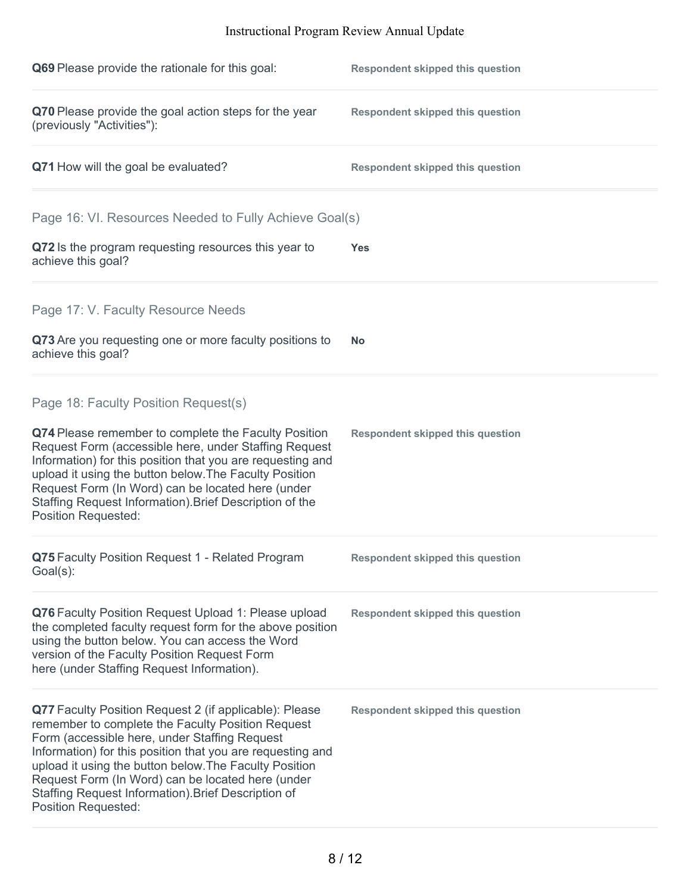| Q69 Please provide the rationale for this goal:                                                                                                                                                                                                                                                                                                                                                                                | <b>Respondent skipped this question</b> |
|--------------------------------------------------------------------------------------------------------------------------------------------------------------------------------------------------------------------------------------------------------------------------------------------------------------------------------------------------------------------------------------------------------------------------------|-----------------------------------------|
| Q70 Please provide the goal action steps for the year<br>(previously "Activities"):                                                                                                                                                                                                                                                                                                                                            | <b>Respondent skipped this question</b> |
| Q71 How will the goal be evaluated?                                                                                                                                                                                                                                                                                                                                                                                            | <b>Respondent skipped this question</b> |
| Page 16: VI. Resources Needed to Fully Achieve Goal(s)                                                                                                                                                                                                                                                                                                                                                                         |                                         |
| Q72 Is the program requesting resources this year to<br>achieve this goal?                                                                                                                                                                                                                                                                                                                                                     | <b>Yes</b>                              |
| Page 17: V. Faculty Resource Needs                                                                                                                                                                                                                                                                                                                                                                                             |                                         |
| Q73 Are you requesting one or more faculty positions to<br>achieve this goal?                                                                                                                                                                                                                                                                                                                                                  | <b>No</b>                               |
| Page 18: Faculty Position Request(s)                                                                                                                                                                                                                                                                                                                                                                                           |                                         |
| Q74 Please remember to complete the Faculty Position<br>Request Form (accessible here, under Staffing Request<br>Information) for this position that you are requesting and<br>upload it using the button below. The Faculty Position<br>Request Form (In Word) can be located here (under<br>Staffing Request Information). Brief Description of the<br><b>Position Requested:</b>                                            | <b>Respondent skipped this question</b> |
| Q75 Faculty Position Request 1 - Related Program<br>Goal(s):                                                                                                                                                                                                                                                                                                                                                                   | <b>Respondent skipped this question</b> |
| Q76 Faculty Position Request Upload 1: Please upload<br>the completed faculty request form for the above position<br>using the button below. You can access the Word<br>version of the Faculty Position Request Form<br>here (under Staffing Request Information).                                                                                                                                                             | <b>Respondent skipped this question</b> |
| Q77 Faculty Position Request 2 (if applicable): Please<br>remember to complete the Faculty Position Request<br>Form (accessible here, under Staffing Request<br>Information) for this position that you are requesting and<br>upload it using the button below. The Faculty Position<br>Request Form (In Word) can be located here (under<br>Staffing Request Information). Brief Description of<br><b>Position Requested:</b> | <b>Respondent skipped this question</b> |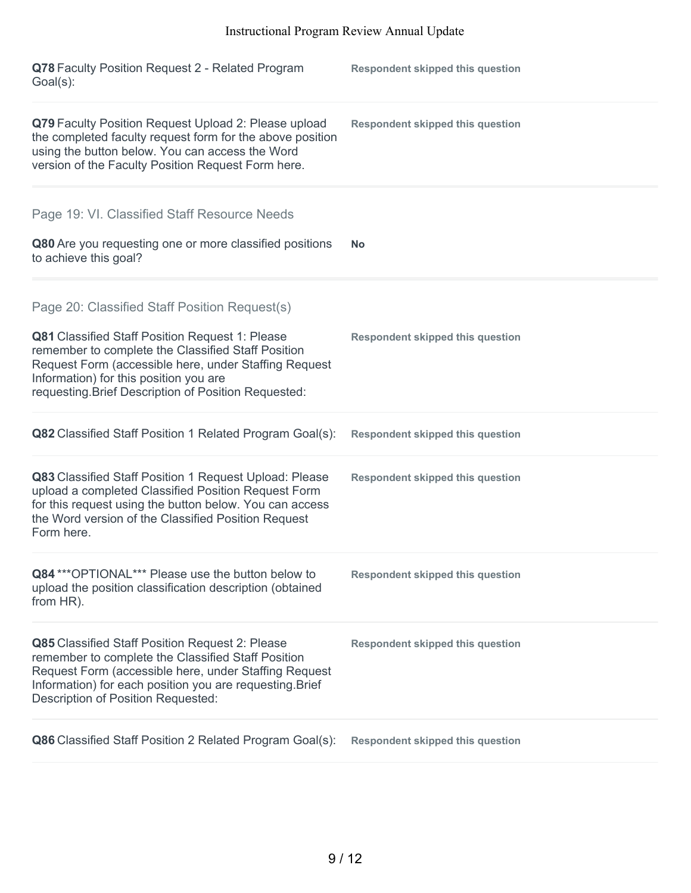| Q78 Faculty Position Request 2 - Related Program<br>Goal(s):                                                                                                                                                                                                            | <b>Respondent skipped this question</b> |
|-------------------------------------------------------------------------------------------------------------------------------------------------------------------------------------------------------------------------------------------------------------------------|-----------------------------------------|
| Q79 Faculty Position Request Upload 2: Please upload<br>the completed faculty request form for the above position<br>using the button below. You can access the Word<br>version of the Faculty Position Request Form here.                                              | <b>Respondent skipped this question</b> |
| Page 19: VI. Classified Staff Resource Needs                                                                                                                                                                                                                            |                                         |
| Q80 Are you requesting one or more classified positions<br>to achieve this goal?                                                                                                                                                                                        | <b>No</b>                               |
| Page 20: Classified Staff Position Request(s)                                                                                                                                                                                                                           |                                         |
| <b>Q81</b> Classified Staff Position Request 1: Please<br>remember to complete the Classified Staff Position<br>Request Form (accessible here, under Staffing Request<br>Information) for this position you are<br>requesting. Brief Description of Position Requested: | <b>Respondent skipped this question</b> |
| Q82 Classified Staff Position 1 Related Program Goal(s):                                                                                                                                                                                                                | <b>Respondent skipped this question</b> |
| Q83 Classified Staff Position 1 Request Upload: Please<br>upload a completed Classified Position Request Form<br>for this request using the button below. You can access<br>the Word version of the Classified Position Request<br>Form here.                           | <b>Respondent skipped this question</b> |
| Q84 *** OPTIONAL*** Please use the button below to<br>upload the position classification description (obtained<br>from HR).                                                                                                                                             | <b>Respondent skipped this question</b> |
| Q85 Classified Staff Position Request 2: Please<br>remember to complete the Classified Staff Position<br>Request Form (accessible here, under Staffing Request<br>Information) for each position you are requesting. Brief<br>Description of Position Requested:        | <b>Respondent skipped this question</b> |
| Q86 Classified Staff Position 2 Related Program Goal(s):                                                                                                                                                                                                                | <b>Respondent skipped this question</b> |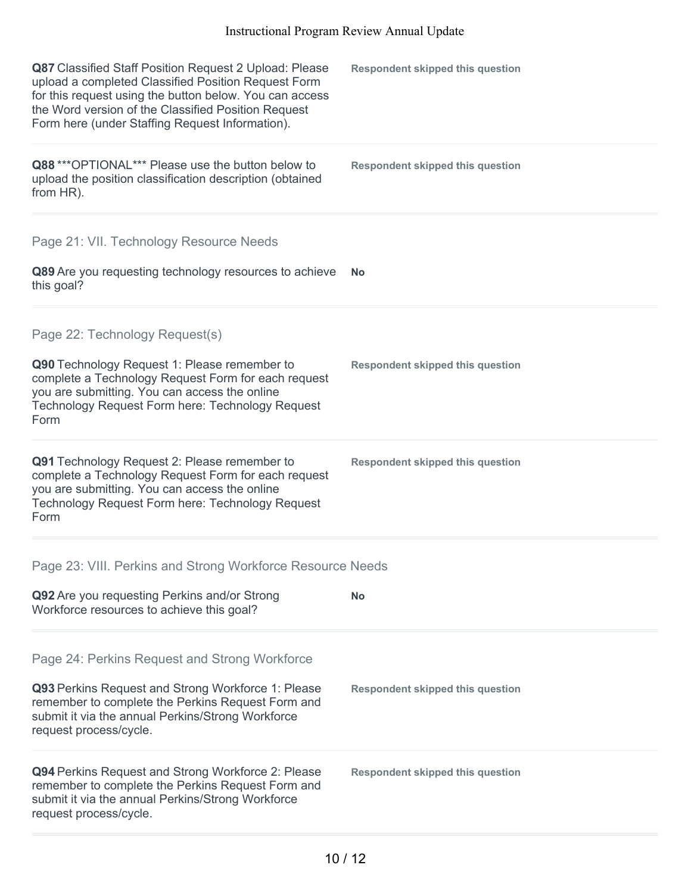| Q87 Classified Staff Position Request 2 Upload: Please<br>upload a completed Classified Position Request Form<br>for this request using the button below. You can access<br>the Word version of the Classified Position Request<br>Form here (under Staffing Request Information). | <b>Respondent skipped this question</b> |
|------------------------------------------------------------------------------------------------------------------------------------------------------------------------------------------------------------------------------------------------------------------------------------|-----------------------------------------|
| Q88 *** OPTIONAL*** Please use the button below to<br>upload the position classification description (obtained<br>from HR).                                                                                                                                                        | <b>Respondent skipped this question</b> |
| Page 21: VII. Technology Resource Needs                                                                                                                                                                                                                                            |                                         |
| Q89 Are you requesting technology resources to achieve<br>this goal?                                                                                                                                                                                                               | <b>No</b>                               |
| Page 22: Technology Request(s)                                                                                                                                                                                                                                                     |                                         |
| Q90 Technology Request 1: Please remember to<br>complete a Technology Request Form for each request<br>you are submitting. You can access the online<br>Technology Request Form here: Technology Request<br>Form                                                                   | <b>Respondent skipped this question</b> |
| Q91 Technology Request 2: Please remember to<br>complete a Technology Request Form for each request<br>you are submitting. You can access the online<br>Technology Request Form here: Technology Request<br>Form                                                                   | <b>Respondent skipped this question</b> |
| Page 23: VIII. Perkins and Strong Workforce Resource Needs                                                                                                                                                                                                                         |                                         |
| Q92 Are you requesting Perkins and/or Strong<br>Workforce resources to achieve this goal?                                                                                                                                                                                          | <b>No</b>                               |
| Page 24: Perkins Request and Strong Workforce                                                                                                                                                                                                                                      |                                         |
| Q93 Perkins Request and Strong Workforce 1: Please<br>remember to complete the Perkins Request Form and<br>submit it via the annual Perkins/Strong Workforce<br>request process/cycle.                                                                                             | <b>Respondent skipped this question</b> |
| Q94 Perkins Request and Strong Workforce 2: Please<br>remember to complete the Perkins Request Form and<br>submit it via the annual Perkins/Strong Workforce<br>request process/cycle.                                                                                             | <b>Respondent skipped this question</b> |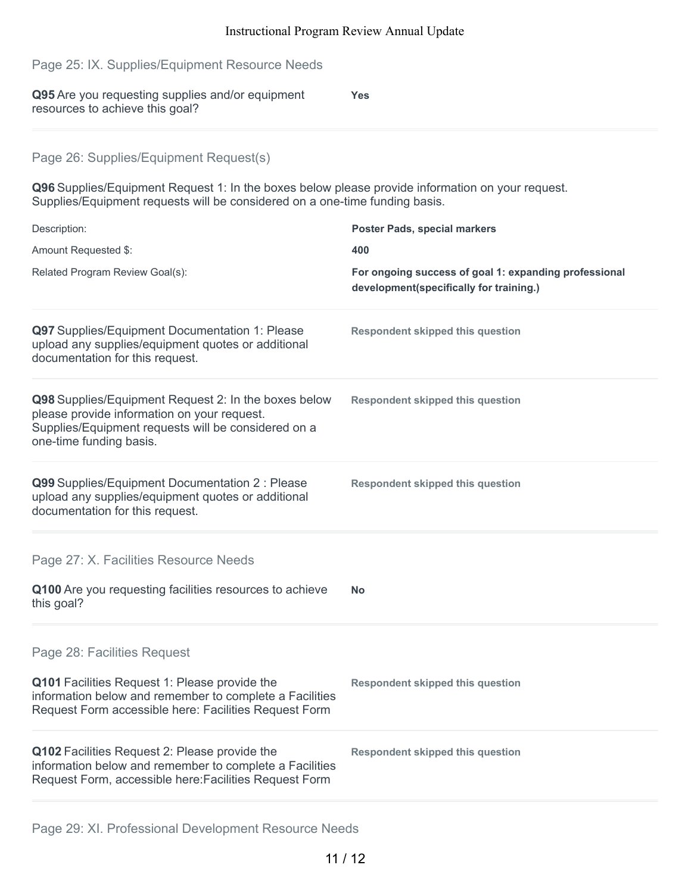# **Q95** Are you requesting supplies and/or equipment resources to achieve this goal? **Yes Q96** Supplies/Equipment Request 1: In the boxes below please provide information on your request. Supplies/Equipment requests will be considered on a one-time funding basis. Description: **Poster Pads, special markers** Amount Requested \$: **400** Related Program Review Goal(s): **For ongoing success of goal 1: expanding professional development(specifically for training.) Q97** Supplies/Equipment Documentation 1: Please upload any supplies/equipment quotes or additional documentation for this request. **Respondent skipped this question Q98** Supplies/Equipment Request 2: In the boxes below please provide information on your request. Supplies/Equipment requests will be considered on a one-time funding basis. **Respondent skipped this question Q99** Supplies/Equipment Documentation 2 : Please upload any supplies/equipment quotes or additional documentation for this request. **Respondent skipped this question Q100** Are you requesting facilities resources to achieve this goal? **No Q101** Facilities Request 1: Please provide the information below and remember to complete a Facilities Request Form accessible here: Facilities Request Form **Respondent skipped this question Q102** Facilities Request 2: Please provide the information below and remember to complete a Facilities **Respondent skipped this question** Page 25: IX. Supplies/Equipment Resource Needs Page 26: Supplies/Equipment Request(s) Page 27: X. Facilities Resource Needs Page 28: Facilities Request

Page 29: XI. Professional Development Resource Needs

Request Form, accessible here:Facilities Request Form